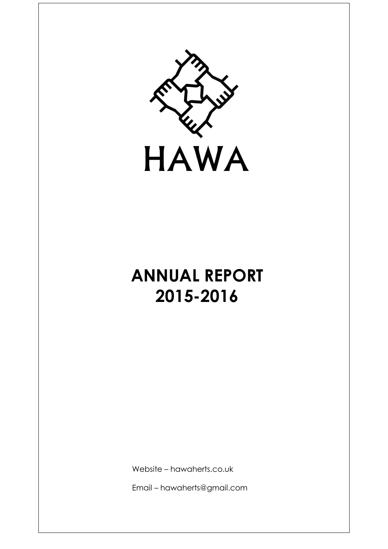

# **ANNUAL REPORT 2015-2016**

Website – hawaherts.co.uk

Email – hawaherts@gmail.com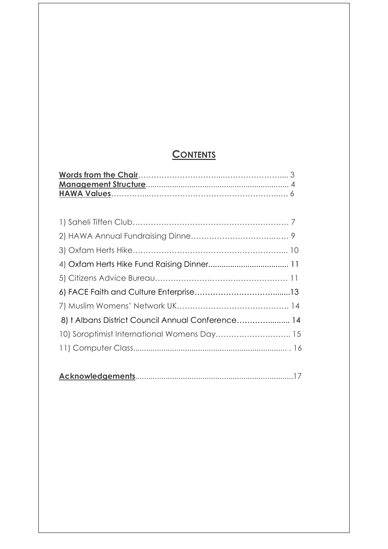# **CONTENTS**

| 8) † Albans District Council Annual Conference 14 |  |
|---------------------------------------------------|--|
| 10) Soroptimist International Womens Day 15       |  |
|                                                   |  |
|                                                   |  |

|--|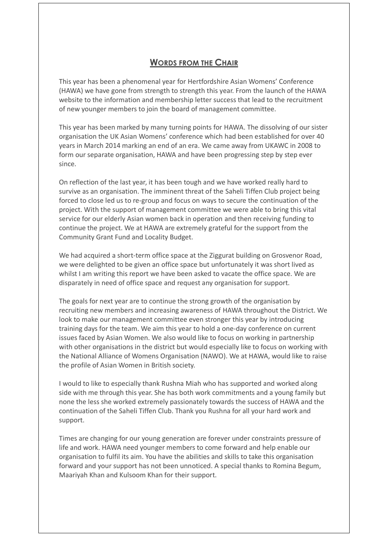### **WORDS FROM THE CHAIR**

This year has been a phenomenal year for Hertfordshire Asian Womens' Conference (HAWA) we have gone from strength to strength this year. From the launch of the HAWA website to the information and membership letter success that lead to the recruitment of new younger members to join the board of management committee.

This year has been marked by many turning points for HAWA. The dissolving of our sister organisation the UK Asian Womens' conference which had been established for over 40 years in March 2014 marking an end of an era. We came away from UKAWC in 2008 to form our separate organisation, HAWA and have been progressing step by step ever since.

On reflection of the last year, it has been tough and we have worked really hard to survive as an organisation. The imminent threat of the Saheli Tiffen Club project being forced to close led us to re-group and focus on ways to secure the continuation of the project. With the support of management committee we were able to bring this vital service for our elderly Asian women back in operation and then receiving funding to continue the project. We at HAWA are extremely grateful for the support from the Community Grant Fund and Locality Budget.

We had acquired a short-term office space at the Ziggurat building on Grosvenor Road, we were delighted to be given an office space but unfortunately it was short lived as whilst I am writing this report we have been asked to vacate the office space. We are disparately in need of office space and request any organisation for support.

The goals for next year are to continue the strong growth of the organisation by recruiting new members and increasing awareness of HAWA throughout the District. We look to make our management committee even stronger this year by introducing training days for the team. We aim this year to hold a one-day conference on current issues faced by Asian Women. We also would like to focus on working in partnership with other organisations in the district but would especially like to focus on working with the National Alliance of Womens Organisation (NAWO). We at HAWA, would like to raise the profile of Asian Women in British society.

I would to like to especially thank Rushna Miah who has supported and worked along side with me through this year. She has both work commitments and a young family but none the less she worked extremely passionately towards the success of HAWA and the continuation of the Saheli Tiffen Club. Thank you Rushna for all your hard work and support.

Times are changing for our young generation are forever under constraints pressure of life and work. HAWA need younger members to come forward and help enable our organisation to fulfil its aim. You have the abilities and skills to take this organisation forward and your support has not been unnoticed. A special thanks to Romina Begum, Maariyah Khan and Kulsoom Khan for their support.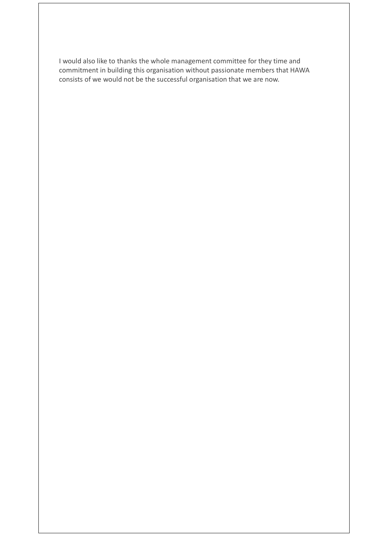I would also like to thanks the whole management committee for they time and commitment in building this organisation without passionate members that HAWA consists of we would not be the successful organisation that we are now.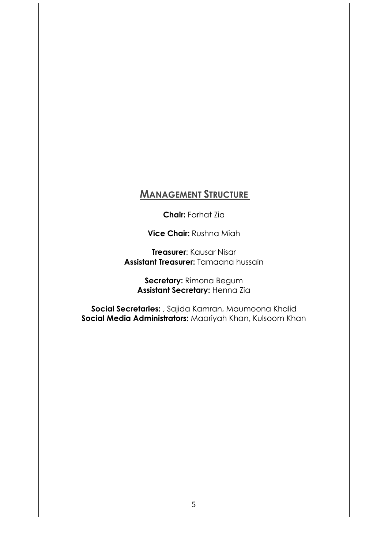# **MANAGEMENT STRUCTURE**

**Chair:** Farhat Zia

**Vice Chair:** Rushna Miah

**Treasurer**: Kausar Nisar **Assistant Treasurer:** Tamaana hussain

**Secretary:** Rimona Begum **Assistant Secretary:** Henna Zia

**Social Secretaries:** , Sajida Kamran, Maumoona Khalid **Social Media Administrators:** Maariyah Khan, Kulsoom Khan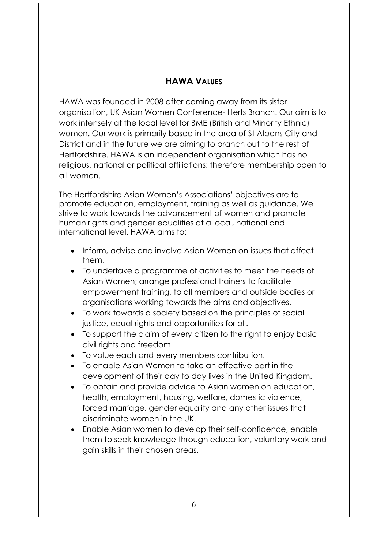# **HAWA VALUES**

HAWA was founded in 2008 after coming away from its sister organisation, UK Asian Women Conference- Herts Branch. Our aim is to work intensely at the local level for BME (British and Minority Ethnic) women. Our work is primarily based in the area of St Albans City and District and in the future we are aiming to branch out to the rest of Hertfordshire. HAWA is an independent organisation which has no religious, national or political affiliations; therefore membership open to all women.

The Hertfordshire Asian Women's Associations' objectives are to promote education, employment, training as well as guidance. We strive to work towards the advancement of women and promote human rights and gender equalities at a local, national and international level. HAWA aims to:

- Inform, advise and involve Asian Women on issues that affect them.
- To undertake a programme of activities to meet the needs of Asian Women; arrange professional trainers to facilitate empowerment training, to all members and outside bodies or organisations working towards the aims and objectives.
- To work towards a society based on the principles of social justice, equal rights and opportunities for all.
- To support the claim of every citizen to the right to enjoy basic civil rights and freedom.
- To value each and every members contribution.
- To enable Asian Women to take an effective part in the development of their day to day lives in the United Kingdom.
- To obtain and provide advice to Asian women on education, health, employment, housing, welfare, domestic violence, forced marriage, gender equality and any other issues that discriminate women in the UK.
- Enable Asian women to develop their self-confidence, enable them to seek knowledge through education, voluntary work and gain skills in their chosen areas.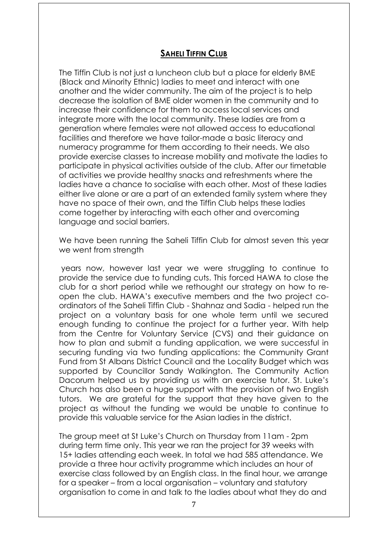## **SAHELI TIFFIN CLUB**

The Tiffin Club is not just a luncheon club but a place for elderly BME (Black and Minority Ethnic) ladies to meet and interact with one another and the wider community. The aim of the project is to help decrease the isolation of BME older women in the community and to increase their confidence for them to access local services and integrate more with the local community. These ladies are from a generation where females were not allowed access to educational facilities and therefore we have tailor-made a basic literacy and numeracy programme for them according to their needs. We also provide exercise classes to increase mobility and motivate the ladies to participate in physical activities outside of the club. After our timetable of activities we provide healthy snacks and refreshments where the ladies have a chance to socialise with each other. Most of these ladies either live alone or are a part of an extended family system where they have no space of their own, and the Tiffin Club helps these ladies come together by interacting with each other and overcoming language and social barriers.

We have been running the Saheli Tiffin Club for almost seven this year we went from strength

years now, however last year we were struggling to continue to provide the service due to funding cuts. This forced HAWA to close the club for a short period while we rethought our strategy on how to reopen the club. HAWA's executive members and the two project coordinators of the Saheli Tiffin Club - Shahnaz and Sadia - helped run the project on a voluntary basis for one whole term until we secured enough funding to continue the project for a further year. With help from the Centre for Voluntary Service (CVS) and their guidance on how to plan and submit a funding application, we were successful in securing funding via two funding applications: the Community Grant Fund from St Albans District Council and the Locality Budget which was supported by Councillor Sandy Walkington. The Community Action Dacorum helped us by providing us with an exercise tutor. St. Luke's Church has also been a huge support with the provision of two English tutors. We are grateful for the support that they have given to the project as without the funding we would be unable to continue to provide this valuable service for the Asian ladies in the district.

The group meet at St Luke's Church on Thursday from 11am - 2pm during term time only. This year we ran the project for 39 weeks with 15+ ladies attending each week. In total we had 585 attendance. We provide a three hour activity programme which includes an hour of exercise class followed by an English class. In the final hour, we arrange for a speaker – from a local organisation – voluntary and statutory organisation to come in and talk to the ladies about what they do and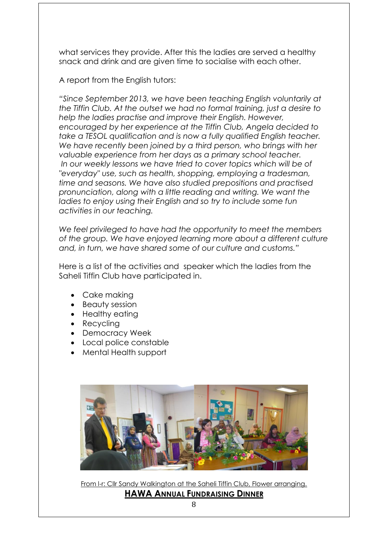what services they provide. After this the ladies are served a healthy snack and drink and are given time to socialise with each other.

A report from the English tutors:

*"Since September 2013, we have been teaching English voluntarily at the Tiffin Club. At the outset we had no formal training, just a desire to help the ladies practise and improve their English. However, encouraged by her experience at the Tiffin Club, Angela decided to take a TESOL qualification and is now a fully qualified English teacher. We have recently been joined by a third person, who brings with her valuable experience from her days as a primary school teacher. In our weekly lessons we have tried to cover topics which will be of "everyday" use, such as health, shopping, employing a tradesman, time and seasons. We have also studied prepositions and practised pronunciation, along with a little reading and writing. We want the ladies to enjoy using their English and so try to include some fun activities in our teaching.*

*We feel privileged to have had the opportunity to meet the members of the group. We have enjoyed learning more about a different culture and, in turn, we have shared some of our culture and customs."*

Here is a list of the activities and speaker which the ladies from the Saheli Tiffin Club have participated in.

- Cake making
- Beauty session
- Healthy eating
- Recycling
- Democracy Week
- Local police constable
- Mental Health support



From I-r: Cllr Sandy Walkington at the Saheli Tiffin Club, Flower arranging.

**HAWA ANNUAL FUNDRAISING DINNER**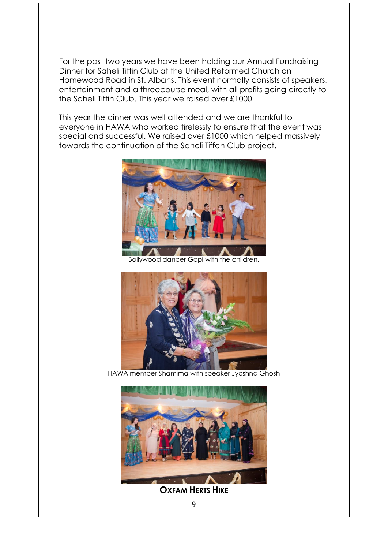For the past two years we have been holding our Annual Fundraising Dinner for Saheli Tiffin Club at the United Reformed Church on Homewood Road in St. Albans. This event normally consists of speakers, entertainment and a threecourse meal, with all profits going directly to the Saheli Tiffin Club. This year we raised over £1000

This year the dinner was well attended and we are thankful to everyone in HAWA who worked tirelessly to ensure that the event was special and successful. We raised over £1000 which helped massively towards the continuation of the Saheli Tiffen Club project.



Bollywood dancer Gopi with the children.



HAWA member Shamima with speaker Jyoshna Ghosh

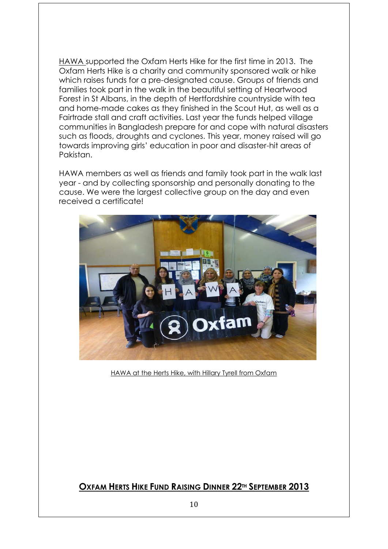HAWA supported the Oxfam Herts Hike for the first time in 2013. The Oxfam Herts Hike is a charity and community sponsored walk or hike which raises funds for a pre-designated cause. Groups of friends and families took part in the walk in the beautiful setting of Heartwood Forest in St Albans, in the depth of Hertfordshire countryside with tea and home-made cakes as they finished in the Scout Hut, as well as a Fairtrade stall and craft activities. Last year the funds helped village communities in Bangladesh prepare for and cope with natural disasters such as floods, droughts and cyclones. This year, money raised will go towards improving girls' education in poor and disaster-hit areas of Pakistan.

HAWA members as well as friends and family took part in the walk last year - and by collecting sponsorship and personally donating to the cause. We were the largest collective group on the day and even received a certificate!



HAWA at the Herts Hike, with Hillary Tyrell from Oxfam

# **OXFAM HERTS HIKE FUND RAISING DINNER 22TH SEPTEMBER 2013**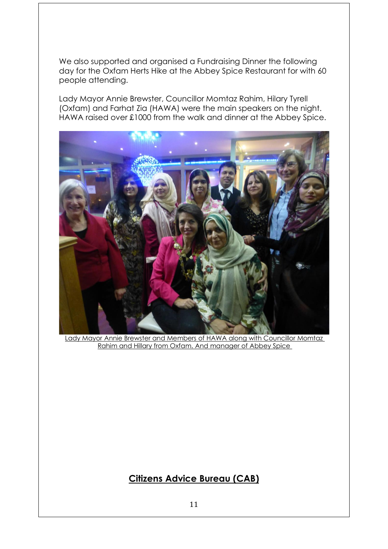We also supported and organised a Fundraising Dinner the following day for the Oxfam Herts Hike at the Abbey Spice Restaurant for with 60 people attending.

Lady Mayor Annie Brewster, Councillor Momtaz Rahim, Hilary Tyrell (Oxfam) and Farhat Zia (HAWA) were the main speakers on the night. HAWA raised over £1000 from the walk and dinner at the Abbey Spice.



Lady Mayor Annie Brewster and Members of HAWA along with Councillor Momtaz Rahim and Hillary from Oxfam. And manager of Abbey Spice

# **Citizens Advice Bureau (CAB)**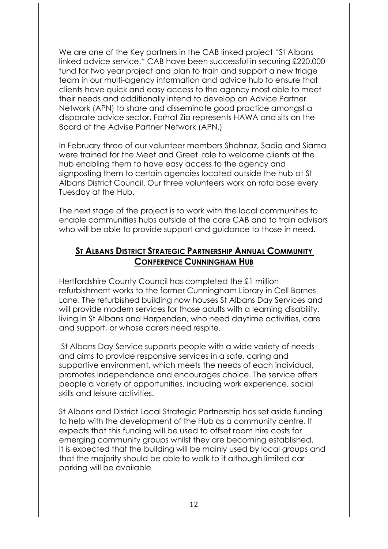We are one of the Key partners in the CAB linked project "St Albans linked advice service." CAB have been successful in securing £220.000 fund for two year project and plan to train and support a new triage team in our multi-agency information and advice hub to ensure that clients have quick and easy access to the agency most able to meet their needs and additionally intend to develop an Advice Partner Network (APN) to share and disseminate good practice amongst a disparate advice sector. Farhat Zia represents HAWA and sits on the Board of the Advise Partner Network (APN.)

In February three of our volunteer members Shahnaz, Sadia and Siama were trained for the Meet and Greet role to welcome clients at the hub enabling them to have easy access to the agency and signposting them to certain agencies located outside the hub at St Albans District Council. Our three volunteers work on rota base every Tuesday at the Hub.

The next stage of the project is to work with the local communities to enable communities hubs outside of the core CAB and to train advisors who will be able to provide support and guidance to those in need.

## **ST ALBANS DISTRICT STRATEGIC PARTNERSHIP ANNUAL COMMUNITY CONFERENCE CUNNINGHAM HUB**

Hertfordshire County Council has completed the £1 million refurbishment works to the former Cunningham Library in Cell Barnes Lane. The refurbished building now houses St Albans Day Services and will provide modern services for those adults with a learning disability, living in St Albans and Harpenden, who need daytime activities, care and support, or whose carers need respite.

St Albans Day Service supports people with a wide variety of needs and aims to provide responsive services in a safe, caring and supportive environment, which meets the needs of each individual, promotes independence and encourages choice. The service offers people a variety of opportunities, including work experience, social skills and leisure activities.

St Albans and District Local Strategic Partnership has set aside funding to help with the development of the Hub as a community centre. It expects that this funding will be used to offset room hire costs for emerging community groups whilst they are becoming established. It is expected that the building will be mainly used by local groups and that the majority should be able to walk to it although limited car parking will be available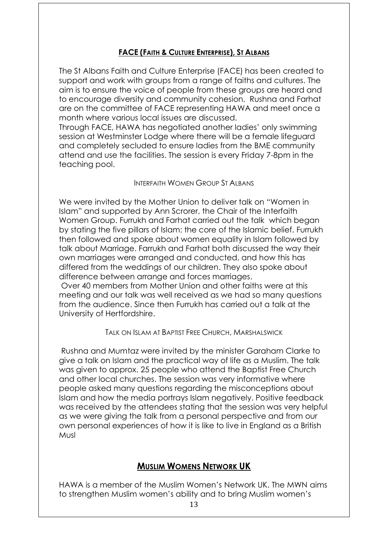#### **FACE (FAITH & CULTURE ENTERPRISE), ST ALBANS**

The St Albans Faith and Culture Enterprise (FACE) has been created to support and work with groups from a range of faiths and cultures. The aim is to ensure the voice of people from these groups are heard and to encourage diversity and community cohesion. Rushna and Farhat are on the committee of FACE representing HAWA and meet once a month where various local issues are discussed.

Through FACE, HAWA has negotiated another ladies' only swimming session at Westminster Lodge where there will be a female lifeguard and completely secluded to ensure ladies from the BME community attend and use the facilities. The session is every Friday 7-8pm in the teaching pool.

#### INTERFAITH WOMEN GROUP ST ALBANS

We were invited by the Mother Union to deliver talk on "Women in Islam" and supported by Ann Scrorer, the Chair of the Interfaith Women Group. Furrukh and Farhat carried out the talk which began by stating the five pillars of Islam: the core of the Islamic belief. Furrukh then followed and spoke about women equality in Islam followed by talk about Marriage. Farrukh and Farhat both discussed the way their own marriages were arranged and conducted, and how this has differed from the weddings of our children. They also spoke about difference between arrange and forces marriages.

Over 40 members from Mother Union and other faiths were at this meeting and our talk was well received as we had so many questions from the audience. Since then Furrukh has carried out a talk at the University of Hertfordshire.

#### TALK ON ISLAM AT BAPTIST FREE CHURCH, MARSHALSWICK

Rushna and Mumtaz were invited by the minister Garaham Clarke to give a talk on Islam and the practical way of life as a Muslim. The talk was given to approx. 25 people who attend the Baptist Free Church and other local churches. The session was very informative where people asked many questions regarding the misconceptions about Islam and how the media portrays Islam negatively. Positive feedback was received by the attendees stating that the session was very helpful as we were giving the talk from a personal perspective and from our own personal experiences of how it is like to live in England as a British Musl

#### **MUSLIM WOMENS NETWORK UK**

HAWA is a member of the Muslim Women's Network UK. The MWN aims to strengthen Muslim women's ability and to bring Muslim women's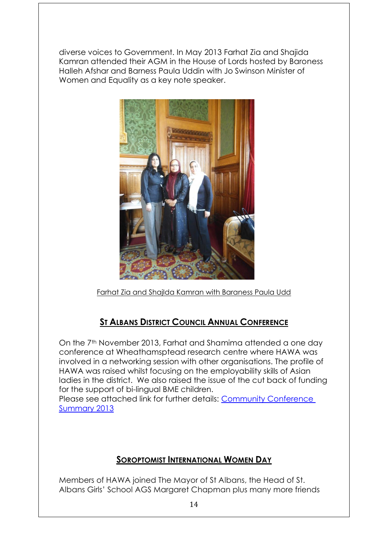diverse voices to Government. In May 2013 Farhat Zia and Shajida Kamran attended their AGM in the House of Lords hosted by Baroness Halleh Afshar and Barness Paula Uddin with Jo Swinson Minister of Women and Equality as a key note speaker.



Farhat Zia and ShajIda Kamran with Baraness Paula Udd

# **ST ALBANS DISTRICT COUNCIL ANNUAL CONFERENCE**

On the 7<sup>th</sup> November 2013, Farhat and Shamima attended a one day conference at Wheathamsptead research centre where HAWA was involved in a networking session with other organisations. The profile of HAWA was raised whilst focusing on the employability skills of Asian ladies in the district. We also raised the issue of the cut back of funding for the support of bi-lingual BME children.

Please see attached link for further details: [Community Conference](http://www.stalbanslsp.org.uk/images/Community%20Conference%20Summary%202013_tcm30-42189.pdf)  [Summary 2013](http://www.stalbanslsp.org.uk/images/Community%20Conference%20Summary%202013_tcm30-42189.pdf)

# **SOROPTOMIST INTERNATIONAL WOMEN DAY**

Members of HAWA joined The Mayor of St Albans, the Head of St. Albans Girls' School AGS Margaret Chapman plus many more friends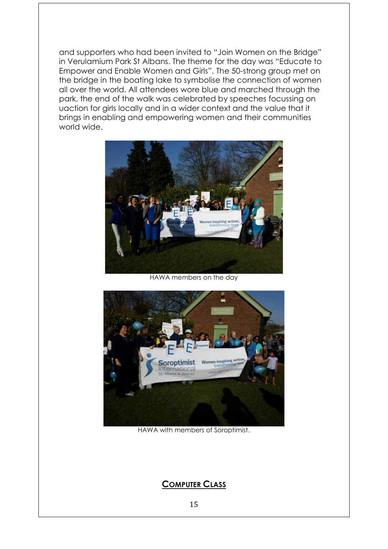and supporters who had been invited to "Join Women on the Bridge" in Verulamium Park St Albans. The theme for the day was "Educate to Empower and Enable Women and Girls". The 50-strong group met on the bridge in the boating lake to symbolise the connection of women all over the world. All attendees wore blue and marched through the park, the end of the walk was celebrated by speeches focussing on uaction for girls locally and in a wider context and the value that it brings in enabling and empowering women and their communities world wide.



HAWA members on the day



HAWA with members of Soroptimist.

## **COMPUTER CLASS**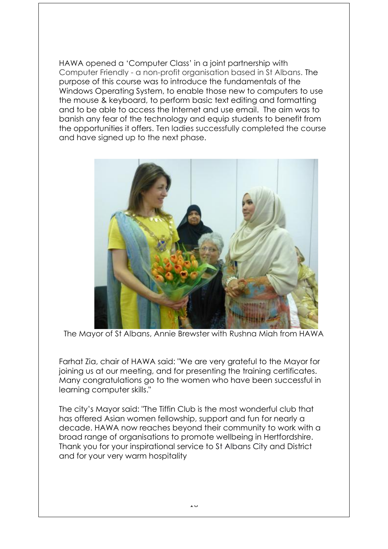HAWA opened a 'Computer Class' in a joint partnership with Computer Friendly - a non-profit organisation based in St Albans. The purpose of this course was to introduce the fundamentals of the Windows Operating System, to enable those new to computers to use the mouse & keyboard, to perform basic text editing and formatting and to be able to access the Internet and use email. The aim was to banish any fear of the technology and equip students to benefit from the opportunities it offers. Ten ladies successfully completed the course and have signed up to the next phase.



The Mayor of St Albans, Annie Brewster with Rushna Miah from HAWA

Farhat Zia, chair of HAWA said: "We are very grateful to the Mayor for joining us at our meeting, and for presenting the training certificates. Many congratulations go to the women who have been successful in learning computer skills."

The city's Mayor said: "The Tiffin Club is the most wonderful club that has offered Asian women fellowship, support and fun for nearly a decade. HAWA now reaches beyond their community to work with a broad range of organisations to promote wellbeing in Hertfordshire. Thank you for your inspirational service to [St Albans City](http://www.stalbansreview.co.uk/search/?search=St+Albans+City&topic_id=5407) and District and for your very warm hospitality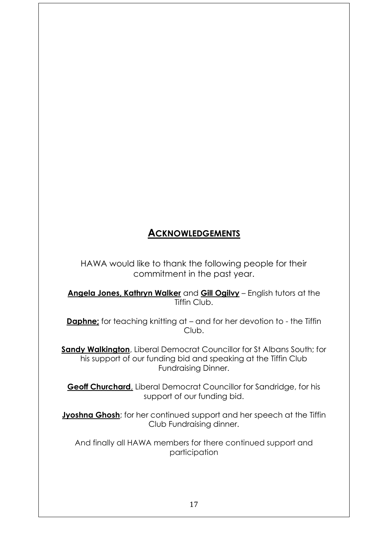# **ACKNOWLEDGEMENTS**

HAWA would like to thank the following people for their commitment in the past year.

**Angela Jones, Kathryn Walker** and **Gill Ogilvy** – English tutors at the Tiffin Club.

**Daphne;** for teaching knitting at – and for her devotion to - the Tiffin Club.

**Sandy Walkington**, Liberal Democrat Councillor for St Albans South; for his support of our funding bid and speaking at the Tiffin Club Fundraising Dinner.

**Geoff Churchard**, Liberal Democrat Councillor for Sandridge, for his support of our funding bid.

**Jyoshna Ghosh**; for her continued support and her speech at the Tiffin Club Fundraising dinner.

And finally all HAWA members for there continued support and participation